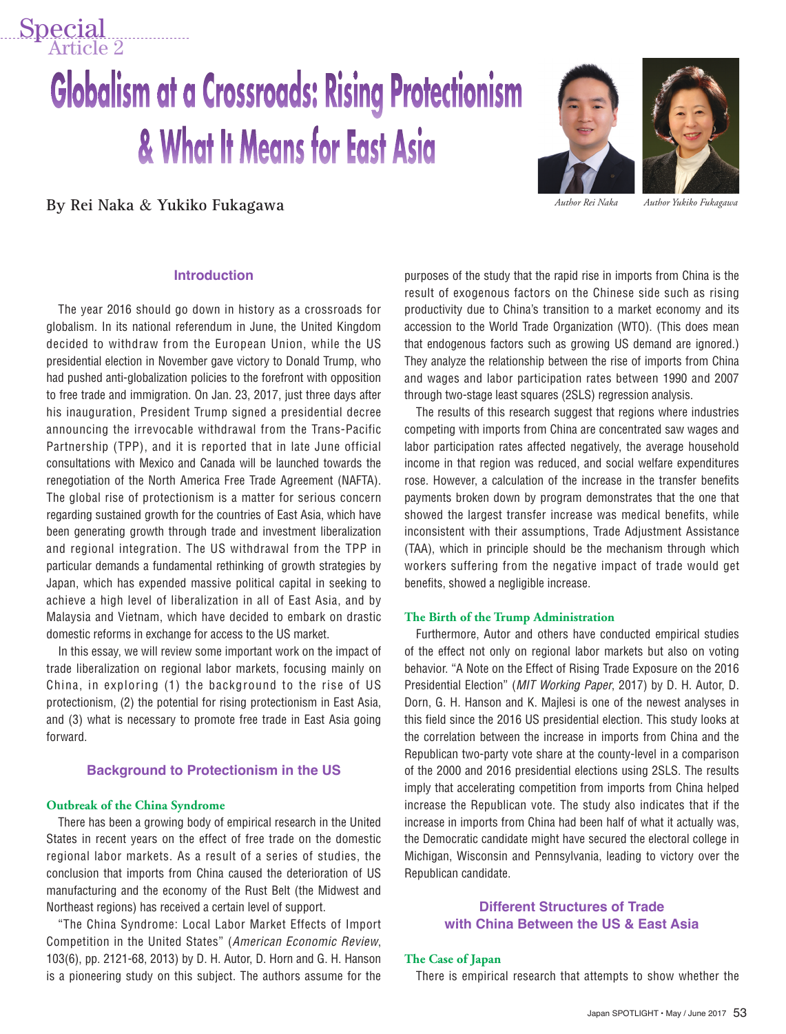# **Globalism at a Crossroads: Rising Protectionism** & What It Means for East Asia

**By Rei Naka** & **Yukiko Fukagawa** *Author Rei Naka Author Yukiko Fukagawa*

Special



#### **Introduction**

The year 2016 should go down in history as a crossroads for globalism. In its national referendum in June, the United Kingdom decided to withdraw from the European Union, while the US presidential election in November gave victory to Donald Trump, who had pushed anti-globalization policies to the forefront with opposition to free trade and immigration. On Jan. 23, 2017, just three days after his inauguration, President Trump signed a presidential decree announcing the irrevocable withdrawal from the Trans-Pacific Partnership (TPP), and it is reported that in late June official consultations with Mexico and Canada will be launched towards the renegotiation of the North America Free Trade Agreement (NAFTA). The global rise of protectionism is a matter for serious concern regarding sustained growth for the countries of East Asia, which have been generating growth through trade and investment liberalization and regional integration. The US withdrawal from the TPP in particular demands a fundamental rethinking of growth strategies by Japan, which has expended massive political capital in seeking to achieve a high level of liberalization in all of East Asia, and by Malaysia and Vietnam, which have decided to embark on drastic domestic reforms in exchange for access to the US market.

In this essay, we will review some important work on the impact of trade liberalization on regional labor markets, focusing mainly on China, in exploring (1) the background to the rise of US protectionism, (2) the potential for rising protectionism in East Asia, and (3) what is necessary to promote free trade in East Asia going forward.

#### **Background to Protectionism in the US**

#### **Outbreak of the China Syndrome**

There has been a growing body of empirical research in the United States in recent years on the effect of free trade on the domestic regional labor markets. As a result of a series of studies, the conclusion that imports from China caused the deterioration of US manufacturing and the economy of the Rust Belt (the Midwest and Northeast regions) has received a certain level of support.

"The China Syndrome: Local Labor Market Effects of Import Competition in the United States" (*American Economic Review*, 103(6), pp. 2121-68, 2013) by D. H. Autor, D. Horn and G. H. Hanson is a pioneering study on this subject. The authors assume for the purposes of the study that the rapid rise in imports from China is the result of exogenous factors on the Chinese side such as rising productivity due to China's transition to a market economy and its accession to the World Trade Organization (WTO). (This does mean that endogenous factors such as growing US demand are ignored.) They analyze the relationship between the rise of imports from China and wages and labor participation rates between 1990 and 2007 through two-stage least squares (2SLS) regression analysis.

The results of this research suggest that regions where industries competing with imports from China are concentrated saw wages and labor participation rates affected negatively, the average household income in that region was reduced, and social welfare expenditures rose. However, a calculation of the increase in the transfer benefits payments broken down by program demonstrates that the one that showed the largest transfer increase was medical benefits, while inconsistent with their assumptions, Trade Adjustment Assistance (TAA), which in principle should be the mechanism through which workers suffering from the negative impact of trade would get benefits, showed a negligible increase.

#### **The Birth of the Trump Administration**

Furthermore, Autor and others have conducted empirical studies of the effect not only on regional labor markets but also on voting behavior. "A Note on the Effect of Rising Trade Exposure on the 2016 Presidential Election" (*MIT Working Paper*, 2017) by D. H. Autor, D. Dorn, G. H. Hanson and K. Majlesi is one of the newest analyses in this field since the 2016 US presidential election. This study looks at the correlation between the increase in imports from China and the Republican two-party vote share at the county-level in a comparison of the 2000 and 2016 presidential elections using 2SLS. The results imply that accelerating competition from imports from China helped increase the Republican vote. The study also indicates that if the increase in imports from China had been half of what it actually was, the Democratic candidate might have secured the electoral college in Michigan, Wisconsin and Pennsylvania, leading to victory over the Republican candidate.

#### **Different Structures of Trade with China Between the US & East Asia**

#### **The Case of Japan**

There is empirical research that attempts to show whether the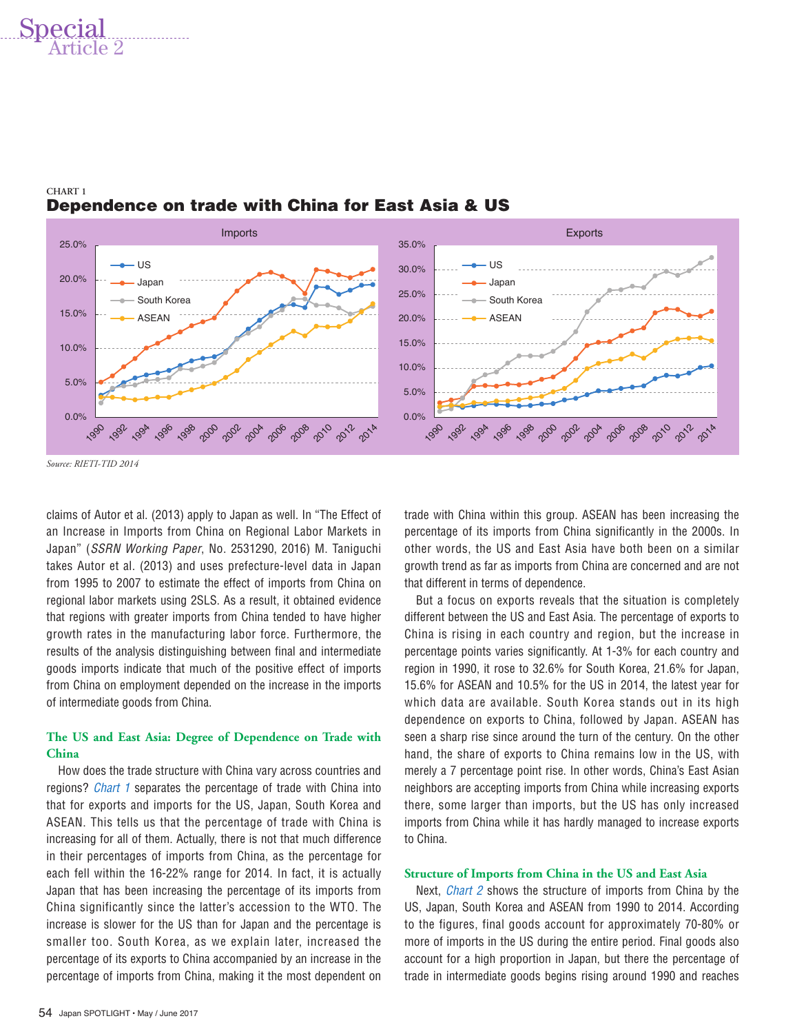## Special



#### **CHART 1** Dependence on trade with China for East Asia & US

*Source: RIETI-TID 2014*

claims of Autor et al. (2013) apply to Japan as well. In "The Effect of an Increase in Imports from China on Regional Labor Markets in Japan" (*SSRN Working Paper*, No. 2531290, 2016) M. Taniguchi takes Autor et al. (2013) and uses prefecture-level data in Japan from 1995 to 2007 to estimate the effect of imports from China on regional labor markets using 2SLS. As a result, it obtained evidence that regions with greater imports from China tended to have higher growth rates in the manufacturing labor force. Furthermore, the results of the analysis distinguishing between final and intermediate goods imports indicate that much of the positive effect of imports from China on employment depended on the increase in the imports of intermediate goods from China.

#### **The US and East Asia: Degree of Dependence on Trade with China**

How does the trade structure with China vary across countries and regions? *Chart 1* separates the percentage of trade with China into that for exports and imports for the US, Japan, South Korea and ASEAN. This tells us that the percentage of trade with China is increasing for all of them. Actually, there is not that much difference in their percentages of imports from China, as the percentage for each fell within the 16-22% range for 2014. In fact, it is actually Japan that has been increasing the percentage of its imports from China significantly since the latter's accession to the WTO. The increase is slower for the US than for Japan and the percentage is smaller too. South Korea, as we explain later, increased the percentage of its exports to China accompanied by an increase in the percentage of imports from China, making it the most dependent on trade with China within this group. ASEAN has been increasing the percentage of its imports from China significantly in the 2000s. In other words, the US and East Asia have both been on a similar growth trend as far as imports from China are concerned and are not that different in terms of dependence.

But a focus on exports reveals that the situation is completely different between the US and East Asia. The percentage of exports to China is rising in each country and region, but the increase in percentage points varies significantly. At 1-3% for each country and region in 1990, it rose to 32.6% for South Korea, 21.6% for Japan, 15.6% for ASEAN and 10.5% for the US in 2014, the latest year for which data are available. South Korea stands out in its high dependence on exports to China, followed by Japan. ASEAN has seen a sharp rise since around the turn of the century. On the other hand, the share of exports to China remains low in the US, with merely a 7 percentage point rise. In other words, China's East Asian neighbors are accepting imports from China while increasing exports there, some larger than imports, but the US has only increased imports from China while it has hardly managed to increase exports to China.

#### **Structure of Imports from China in the US and East Asia**

Next, *Chart 2* shows the structure of imports from China by the US, Japan, South Korea and ASEAN from 1990 to 2014. According to the figures, final goods account for approximately 70-80% or more of imports in the US during the entire period. Final goods also account for a high proportion in Japan, but there the percentage of trade in intermediate goods begins rising around 1990 and reaches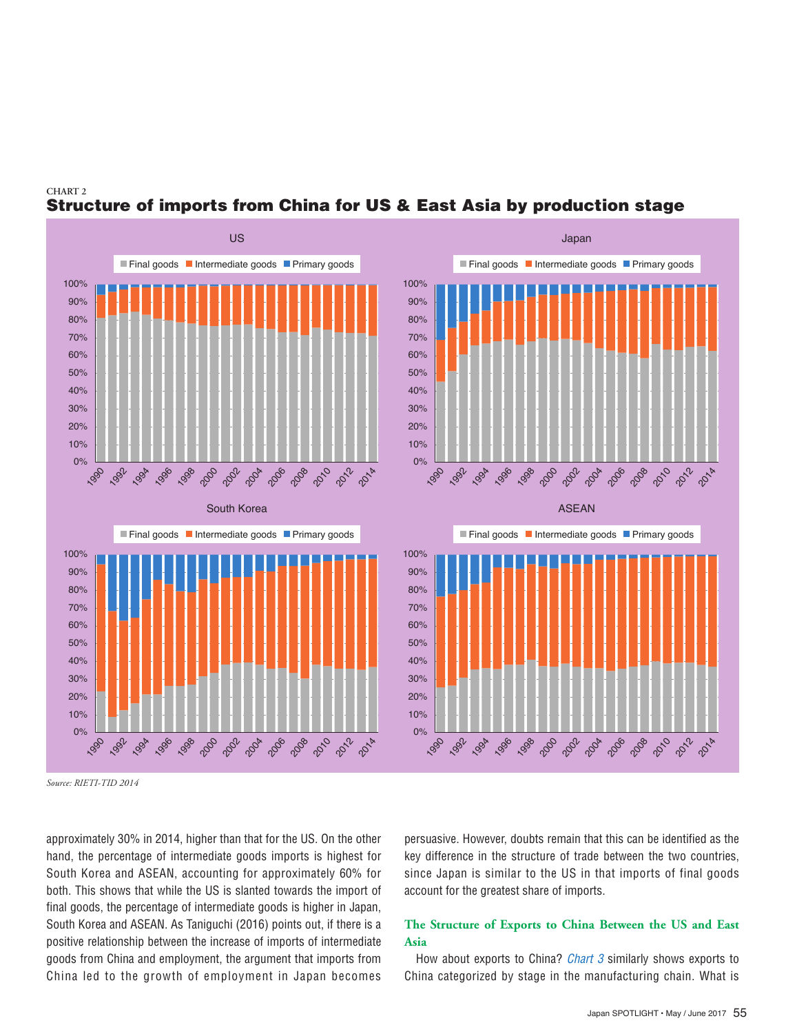

### Structure of imports from China for US & East Asia by production stage

*Source: RIETI-TID 2014*

**CHART 2**

approximately 30% in 2014, higher than that for the US. On the other hand, the percentage of intermediate goods imports is highest for South Korea and ASEAN, accounting for approximately 60% for both. This shows that while the US is slanted towards the import of final goods, the percentage of intermediate goods is higher in Japan, South Korea and ASEAN. As Taniguchi (2016) points out, if there is a positive relationship between the increase of imports of intermediate goods from China and employment, the argument that imports from China led to the growth of employment in Japan becomes

persuasive. However, doubts remain that this can be identified as the key difference in the structure of trade between the two countries, since Japan is similar to the US in that imports of final goods account for the greatest share of imports.

#### **The Structure of Exports to China Between the US and East Asia**

How about exports to China? *Chart 3* similarly shows exports to China categorized by stage in the manufacturing chain. What is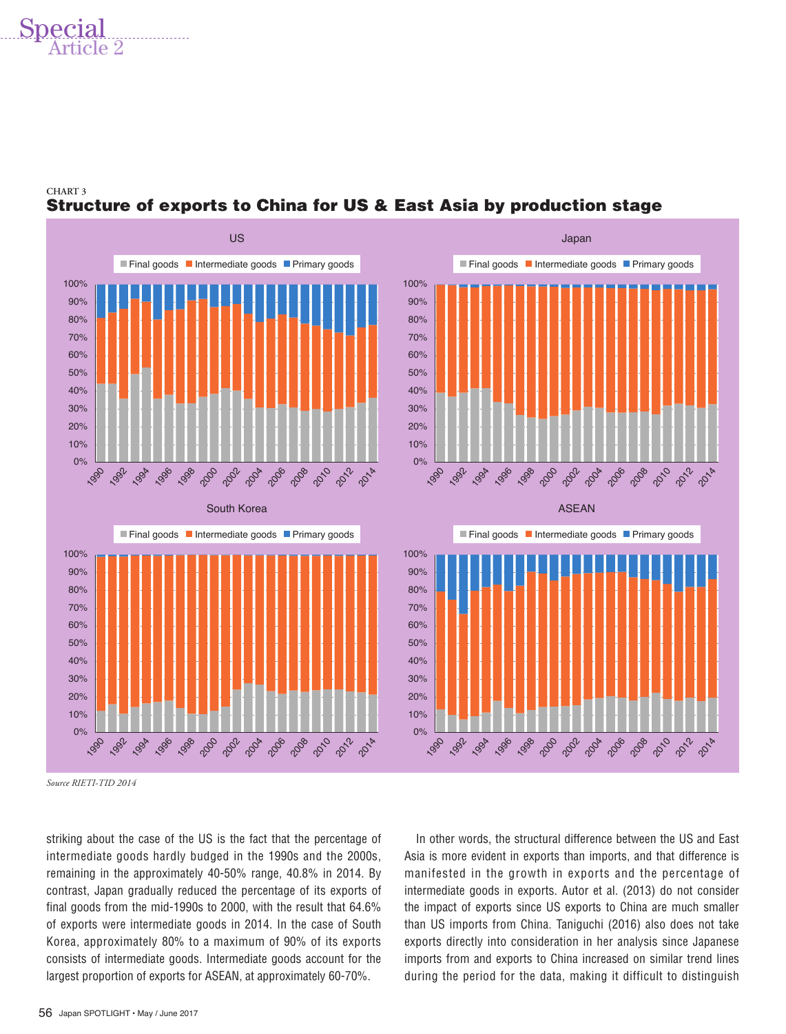## Special



#### **CHART 3** Structure of exports to China for US & East Asia by production stage

*Source RIETI-TID 2014*

striking about the case of the US is the fact that the percentage of intermediate goods hardly budged in the 1990s and the 2000s, remaining in the approximately 40-50% range, 40.8% in 2014. By contrast, Japan gradually reduced the percentage of its exports of final goods from the mid-1990s to 2000, with the result that 64.6% of exports were intermediate goods in 2014. In the case of South Korea, approximately 80% to a maximum of 90% of its exports consists of intermediate goods. Intermediate goods account for the largest proportion of exports for ASEAN, at approximately 60-70%.

In other words, the structural difference between the US and East Asia is more evident in exports than imports, and that difference is manifested in the growth in exports and the percentage of intermediate goods in exports. Autor et al. (2013) do not consider the impact of exports since US exports to China are much smaller than US imports from China. Taniguchi (2016) also does not take exports directly into consideration in her analysis since Japanese imports from and exports to China increased on similar trend lines during the period for the data, making it difficult to distinguish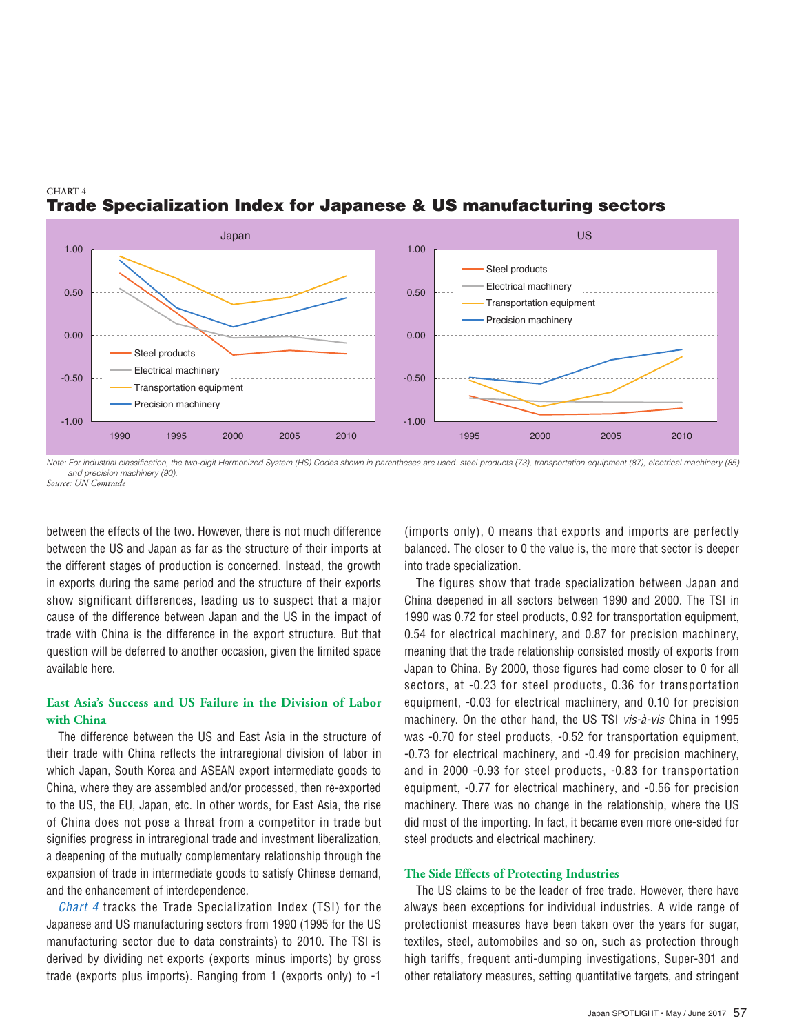



*Note: For industrial classification, the two-digit Harmonized System (HS) Codes shown in parentheses are used: steel products (73), transportation equipment (87), electrical machinery (85) and precision machinery (90). Source: UN Comtrade*

between the effects of the two. However, there is not much difference between the US and Japan as far as the structure of their imports at the different stages of production is concerned. Instead, the growth in exports during the same period and the structure of their exports show significant differences, leading us to suspect that a major cause of the difference between Japan and the US in the impact of trade with China is the difference in the export structure. But that question will be deferred to another occasion, given the limited space available here.

#### **East Asia's Success and US Failure in the Division of Labor with China**

The difference between the US and East Asia in the structure of their trade with China reflects the intraregional division of labor in which Japan, South Korea and ASEAN export intermediate goods to China, where they are assembled and/or processed, then re-exported to the US, the EU, Japan, etc. In other words, for East Asia, the rise of China does not pose a threat from a competitor in trade but signifies progress in intraregional trade and investment liberalization, a deepening of the mutually complementary relationship through the expansion of trade in intermediate goods to satisfy Chinese demand, and the enhancement of interdependence.

*Chart 4* tracks the Trade Specialization Index (TSI) for the Japanese and US manufacturing sectors from 1990 (1995 for the US manufacturing sector due to data constraints) to 2010. The TSI is derived by dividing net exports (exports minus imports) by gross trade (exports plus imports). Ranging from 1 (exports only) to -1

(imports only), 0 means that exports and imports are perfectly balanced. The closer to 0 the value is, the more that sector is deeper into trade specialization.

The figures show that trade specialization between Japan and China deepened in all sectors between 1990 and 2000. The TSI in 1990 was 0.72 for steel products, 0.92 for transportation equipment, 0.54 for electrical machinery, and 0.87 for precision machinery, meaning that the trade relationship consisted mostly of exports from Japan to China. By 2000, those figures had come closer to 0 for all sectors, at -0.23 for steel products, 0.36 for transportation equipment, -0.03 for electrical machinery, and 0.10 for precision machinery. On the other hand, the US TSI *vis-à-vis* China in 1995 was -0.70 for steel products, -0.52 for transportation equipment, -0.73 for electrical machinery, and -0.49 for precision machinery, and in 2000 -0.93 for steel products, -0.83 for transportation equipment, -0.77 for electrical machinery, and -0.56 for precision machinery. There was no change in the relationship, where the US did most of the importing. In fact, it became even more one-sided for steel products and electrical machinery.

#### **The Side Effects of Protecting Industries**

The US claims to be the leader of free trade. However, there have always been exceptions for individual industries. A wide range of protectionist measures have been taken over the years for sugar, textiles, steel, automobiles and so on, such as protection through high tariffs, frequent anti-dumping investigations, Super-301 and other retaliatory measures, setting quantitative targets, and stringent